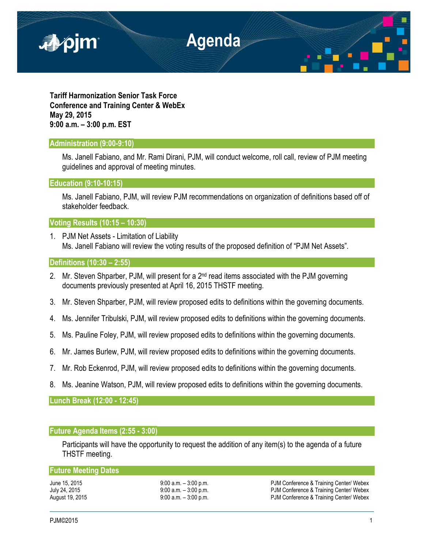

**Tariff Harmonization Senior Task Force Conference and Training Center & WebEx May 29, 2015 9:00 a.m. – 3:00 p.m. EST**

### **Administration (9:00-9:10)**

Ms. Janell Fabiano, and Mr. Rami Dirani, PJM, will conduct welcome, roll call, review of PJM meeting guidelines and approval of meeting minutes.

**Education (9:10-10:15)** 

Ms. Janell Fabiano, PJM, will review PJM recommendations on organization of definitions based off of stakeholder feedback.

**Voting Results (10:15 – 10:30)** 

1. PJM Net Assets - Limitation of Liability Ms. Janell Fabiano will review the voting results of the proposed definition of "PJM Net Assets".

# **Definitions (10:30 – 2:55)**

- 2. Mr. Steven Shparber, PJM, will present for a 2<sup>nd</sup> read items associated with the PJM governing documents previously presented at April 16, 2015 THSTF meeting.
- 3. Mr. Steven Shparber, PJM, will review proposed edits to definitions within the governing documents.
- 4. Ms. Jennifer Tribulski, PJM, will review proposed edits to definitions within the governing documents.
- 5. Ms. Pauline Foley, PJM, will review proposed edits to definitions within the governing documents.
- 6. Mr. James Burlew, PJM, will review proposed edits to definitions within the governing documents.
- 7. Mr. Rob Eckenrod, PJM, will review proposed edits to definitions within the governing documents.
- 8. Ms. Jeanine Watson, PJM, will review proposed edits to definitions within the governing documents.

**Lunch Break (12:00 - 12:45)** 

# **Future Agenda Items (2:55 - 3:00)**

Participants will have the opportunity to request the addition of any item(s) to the agenda of a future THSTF meeting.

## **Future Meeting Dates**

June 15, 2015 <br>
July 24, 2015 <br>
July 24, 2015 <br>
9:00 a.m. – 3:00 p.m. <br>
9:00 a.m. – 3:00 p.m. <br>
PJM Conference & Training Center/ Webex PJM Conference & Training Center/ Webex August 19, 2015 9:00 a.m. – 3:00 p.m. PJM Conference & Training Center/ Webex